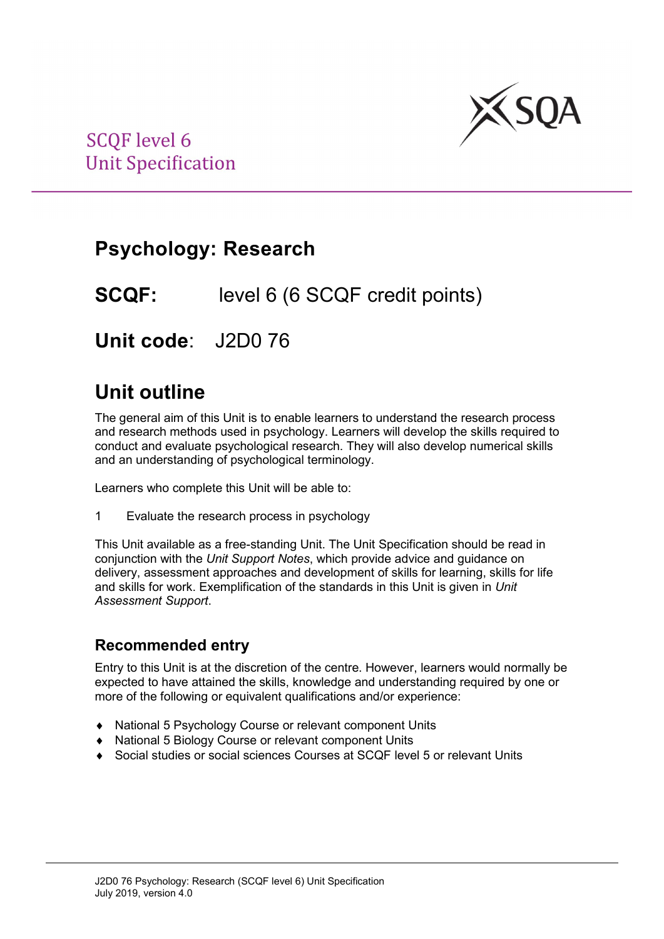

## **Psychology: Research**

**SCQF:** level 6 (6 SCQF credit points)

**Unit code**: J2D0 76

### **Unit outline**

The general aim of this Unit is to enable learners to understand the research process and research methods used in psychology. Learners will develop the skills required to conduct and evaluate psychological research. They will also develop numerical skills and an understanding of psychological terminology.

Learners who complete this Unit will be able to:

1 Evaluate the research process in psychology

This Unit available as a free-standing Unit. The Unit Specification should be read in conjunction with the *Unit Support Notes*, which provide advice and guidance on delivery, assessment approaches and development of skills for learning, skills for life and skills for work. Exemplification of the standards in this Unit is given in *Unit Assessment Support*.

#### **Recommended entry**

Entry to this Unit is at the discretion of the centre. However, learners would normally be expected to have attained the skills, knowledge and understanding required by one or more of the following or equivalent qualifications and/or experience:

- ♦ National 5 Psychology Course or relevant component Units
- ♦ National 5 Biology Course or relevant component Units
- ♦ Social studies or social sciences Courses at SCQF level 5 or relevant Units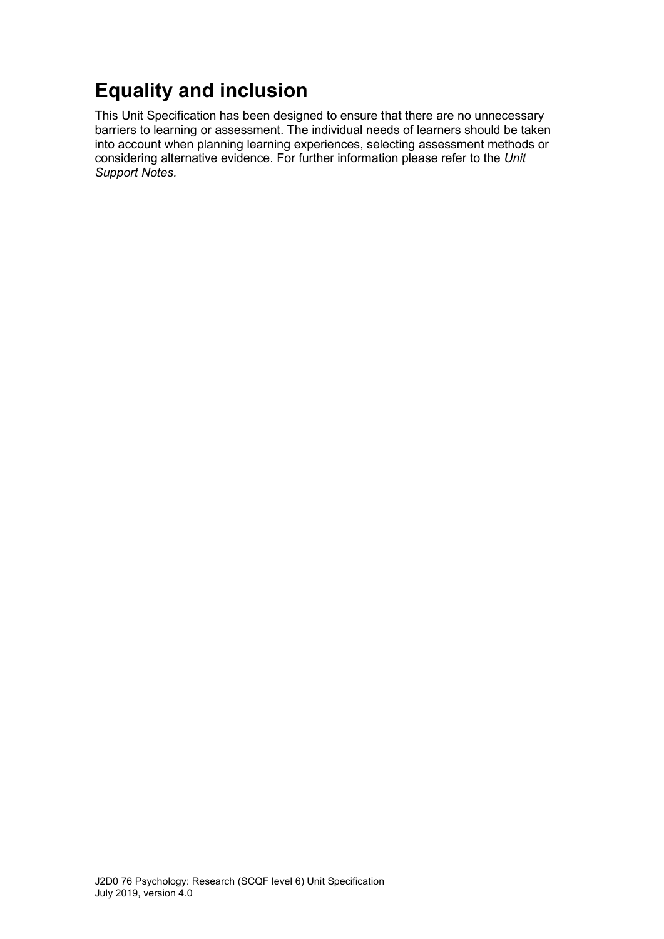# **Equality and inclusion**

This Unit Specification has been designed to ensure that there are no unnecessary barriers to learning or assessment. The individual needs of learners should be taken into account when planning learning experiences, selecting assessment methods or considering alternative evidence. For further information please refer to the *Unit Support Notes.*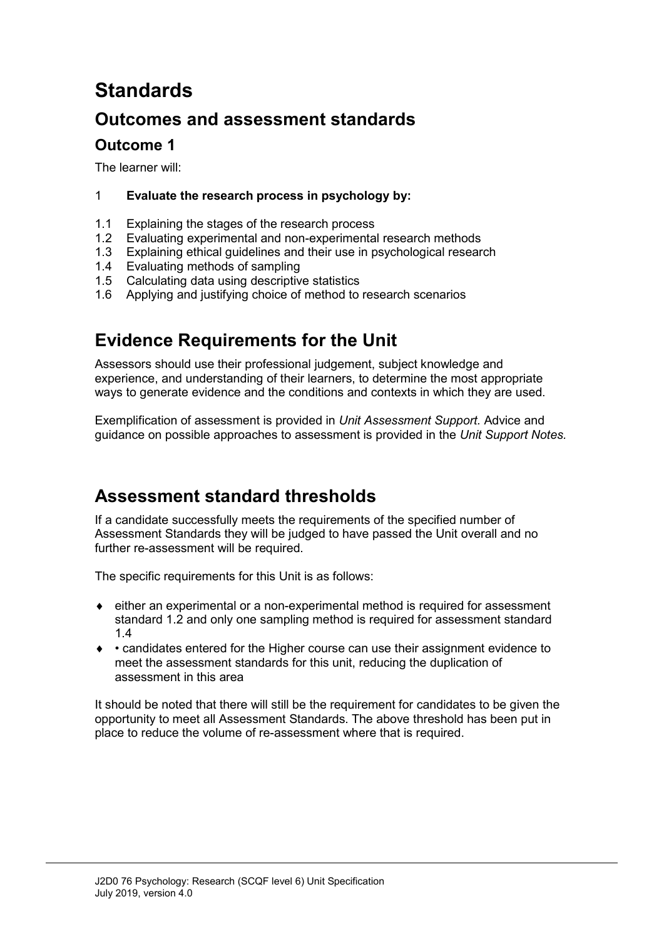# **Standards**

### **Outcomes and assessment standards**

### **Outcome 1**

The learner will:

#### 1 **Evaluate the research process in psychology by:**

- 1.1 Explaining the stages of the research process<br>1.2 Evaluating experimental and non-experimenta
- Evaluating experimental and non-experimental research methods
- 1.3 Explaining ethical guidelines and their use in psychological research<br>1.4 Evaluating methods of sampling
- Evaluating methods of sampling
- 1.5 Calculating data using descriptive statistics
- 1.6 Applying and justifying choice of method to research scenarios

### **Evidence Requirements for the Unit**

Assessors should use their professional judgement, subject knowledge and experience, and understanding of their learners, to determine the most appropriate ways to generate evidence and the conditions and contexts in which they are used.

Exemplification of assessment is provided in *Unit Assessment Support.* Advice and guidance on possible approaches to assessment is provided in the *Unit Support Notes.*

### **Assessment standard thresholds**

If a candidate successfully meets the requirements of the specified number of Assessment Standards they will be judged to have passed the Unit overall and no further re-assessment will be required.

The specific requirements for this Unit is as follows:

- ♦ either an experimental or a non-experimental method is required for assessment standard 1.2 and only one sampling method is required for assessment standard 1.4
- ♦ candidates entered for the Higher course can use their assignment evidence to meet the assessment standards for this unit, reducing the duplication of assessment in this area

It should be noted that there will still be the requirement for candidates to be given the opportunity to meet all Assessment Standards. The above threshold has been put in place to reduce the volume of re-assessment where that is required.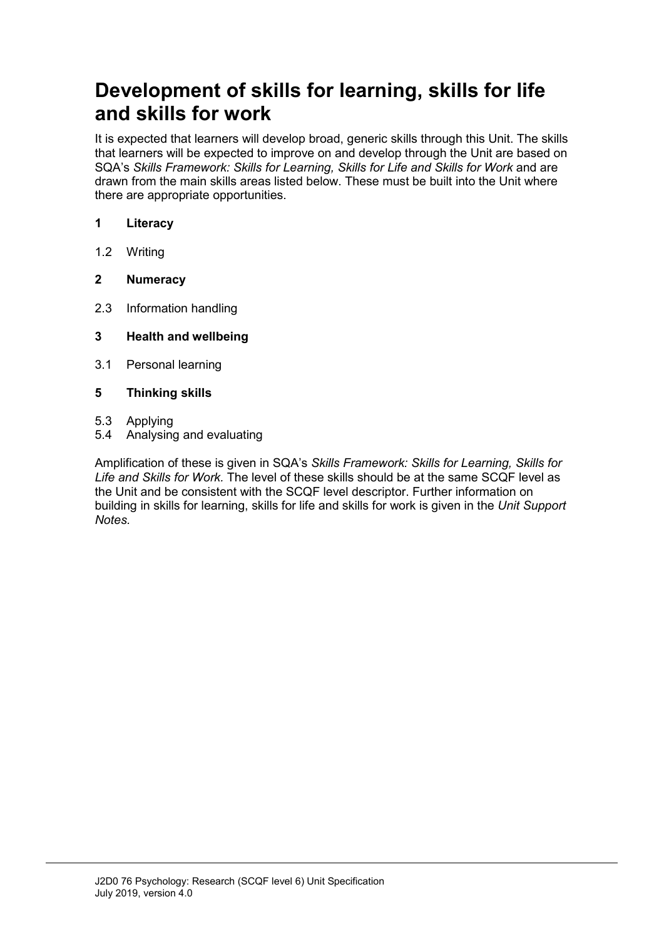## **Development of skills for learning, skills for life and skills for work**

It is expected that learners will develop broad, generic skills through this Unit. The skills that learners will be expected to improve on and develop through the Unit are based on SQA's Skills Framework: Skills for Learning, Skills for Life and Skills for Work and are drawn from the main skills areas listed below. These must be built into the Unit where there are appropriate opportunities.

#### **1 Literacy**

- 1.2 Writing
- **2 Numeracy**
- 2.3 Information handling
- **3 Health and wellbeing**
- 3.1 Personal learning
- **5 Thinking skills**
- 5.3 Applying
- 5.4 Analysing and evaluating

Amplification of these is given in SQA's *Skills Framework: Skills for Learning, Skills for Life and Skills for Work.* The level of these skills should be at the same SCQF level as the Unit and be consistent with the SCQF level descriptor. Further information on building in skills for learning, skills for life and skills for work is given in the *Unit Support Notes.*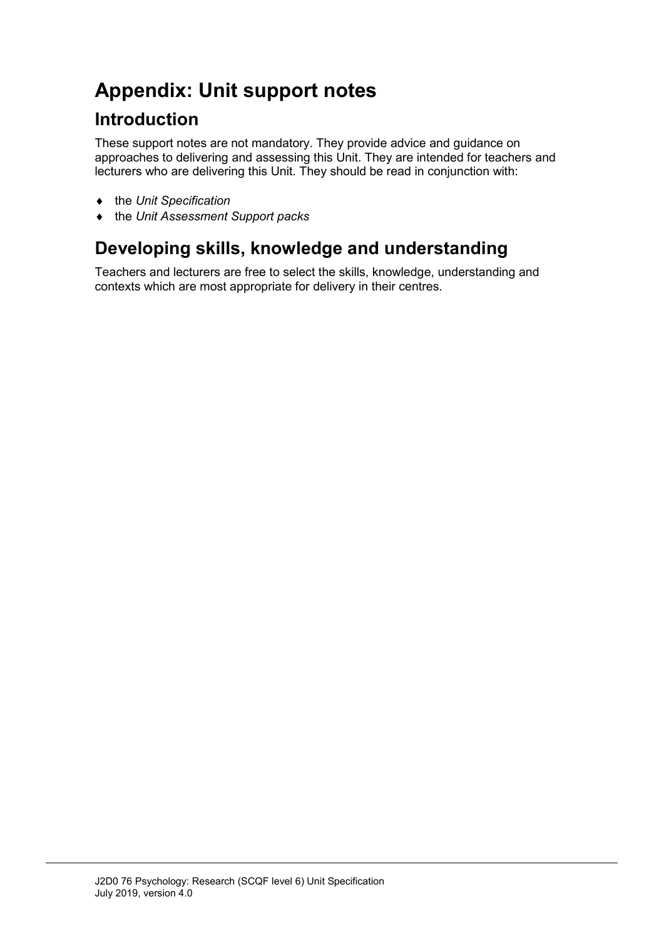# **Appendix: Unit support notes**

### **Introduction**

These support notes are not mandatory. They provide advice and guidance on approaches to delivering and assessing this Unit. They are intended for teachers and lecturers who are delivering this Unit. They should be read in conjunction with:

- ♦ the *Unit Specification*
- ♦ the *Unit Assessment Support packs*

## **Developing skills, knowledge and understanding**

Teachers and lecturers are free to select the skills, knowledge, understanding and contexts which are most appropriate for delivery in their centres.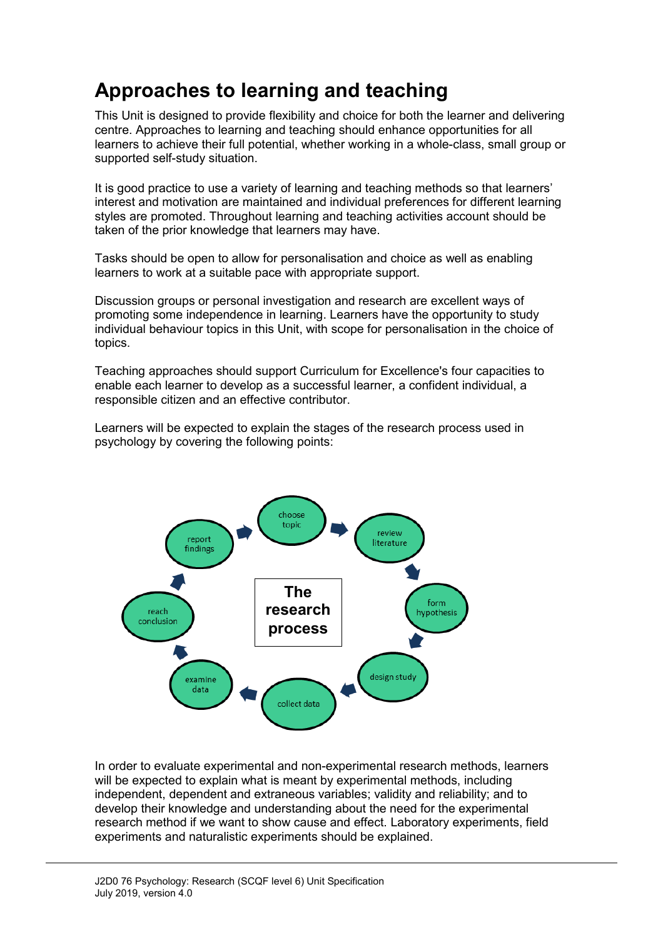# **Approaches to learning and teaching**

This Unit is designed to provide flexibility and choice for both the learner and delivering centre. Approaches to learning and teaching should enhance opportunities for all learners to achieve their full potential, whether working in a whole-class, small group or supported self-study situation.

It is good practice to use a variety of learning and teaching methods so that learners' interest and motivation are maintained and individual preferences for different learning styles are promoted. Throughout learning and teaching activities account should be taken of the prior knowledge that learners may have.

Tasks should be open to allow for personalisation and choice as well as enabling learners to work at a suitable pace with appropriate support.

Discussion groups or personal investigation and research are excellent ways of promoting some independence in learning. Learners have the opportunity to study individual behaviour topics in this Unit, with scope for personalisation in the choice of topics.

Teaching approaches should support Curriculum for Excellence's four capacities to enable each learner to develop as a successful learner, a confident individual, a responsible citizen and an effective contributor.

Learners will be expected to explain the stages of the research process used in psychology by covering the following points:



In order to evaluate experimental and non-experimental research methods, learners will be expected to explain what is meant by experimental methods, including independent, dependent and extraneous variables; validity and reliability; and to develop their knowledge and understanding about the need for the experimental research method if we want to show cause and effect. Laboratory experiments, field experiments and naturalistic experiments should be explained.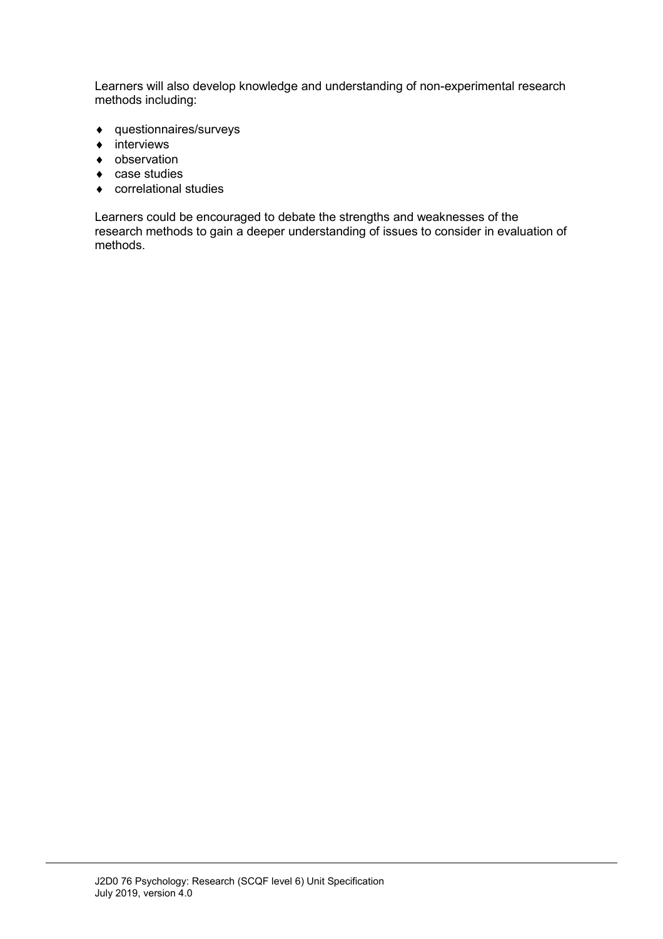Learners will also develop knowledge and understanding of non-experimental research methods including:

- ♦ questionnaires/surveys
- ♦ interviews
- ♦ observation
- ♦ case studies
- ♦ correlational studies

Learners could be encouraged to debate the strengths and weaknesses of the research methods to gain a deeper understanding of issues to consider in evaluation of methods.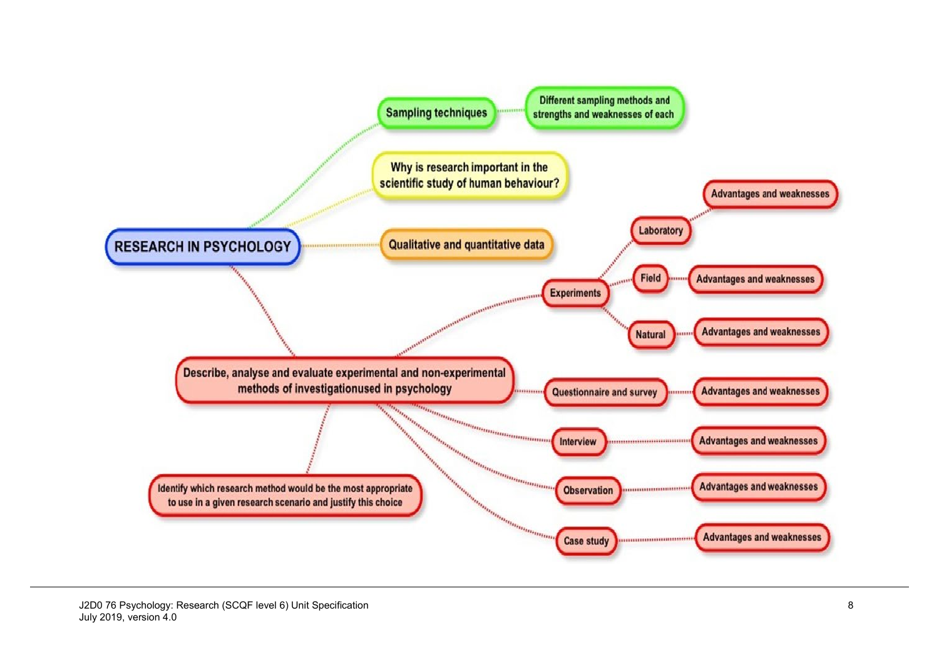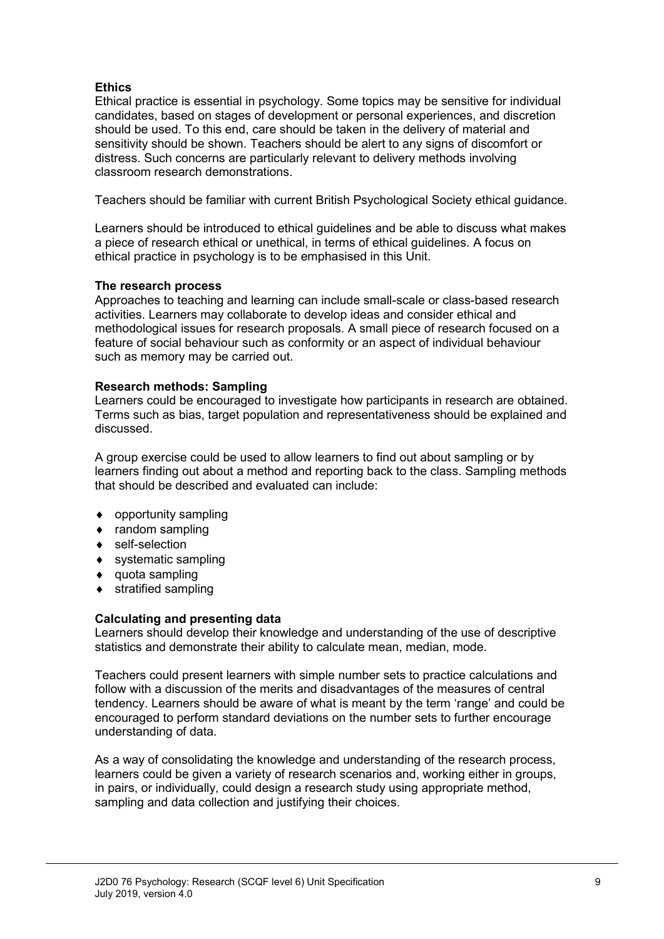#### **Ethics**

Ethical practice is essential in psychology. Some topics may be sensitive for individual candidates, based on stages of development or personal experiences, and discretion should be used. To this end, care should be taken in the delivery of material and sensitivity should be shown. Teachers should be alert to any signs of discomfort or distress. Such concerns are particularly relevant to delivery methods involving classroom research demonstrations.

Teachers should be familiar with current British Psychological Society ethical guidance.

Learners should be introduced to ethical guidelines and be able to discuss what makes a piece of research ethical or unethical, in terms of ethical guidelines. A focus on ethical practice in psychology is to be emphasised in this Unit.

#### **The research process**

Approaches to teaching and learning can include small-scale or class-based research activities. Learners may collaborate to develop ideas and consider ethical and methodological issues for research proposals. A small piece of research focused on a feature of social behaviour such as conformity or an aspect of individual behaviour such as memory may be carried out.

#### **Research methods: Sampling**

Learners could be encouraged to investigate how participants in research are obtained. Terms such as bias, target population and representativeness should be explained and discussed.

A group exercise could be used to allow learners to find out about sampling or by learners finding out about a method and reporting back to the class. Sampling methods that should be described and evaluated can include:

- ♦ opportunity sampling
- ♦ random sampling
- ♦ self-selection
- ♦ systematic sampling
- ♦ quota sampling
- ♦ stratified sampling

#### **Calculating and presenting data**

Learners should develop their knowledge and understanding of the use of descriptive statistics and demonstrate their ability to calculate mean, median, mode.

Teachers could present learners with simple number sets to practice calculations and follow with a discussion of the merits and disadvantages of the measures of central tendency. Learners should be aware of what is meant by the term 'range' and could be encouraged to perform standard deviations on the number sets to further encourage understanding of data.

As a way of consolidating the knowledge and understanding of the research process, learners could be given a variety of research scenarios and, working either in groups, in pairs, or individually, could design a research study using appropriate method, sampling and data collection and justifying their choices.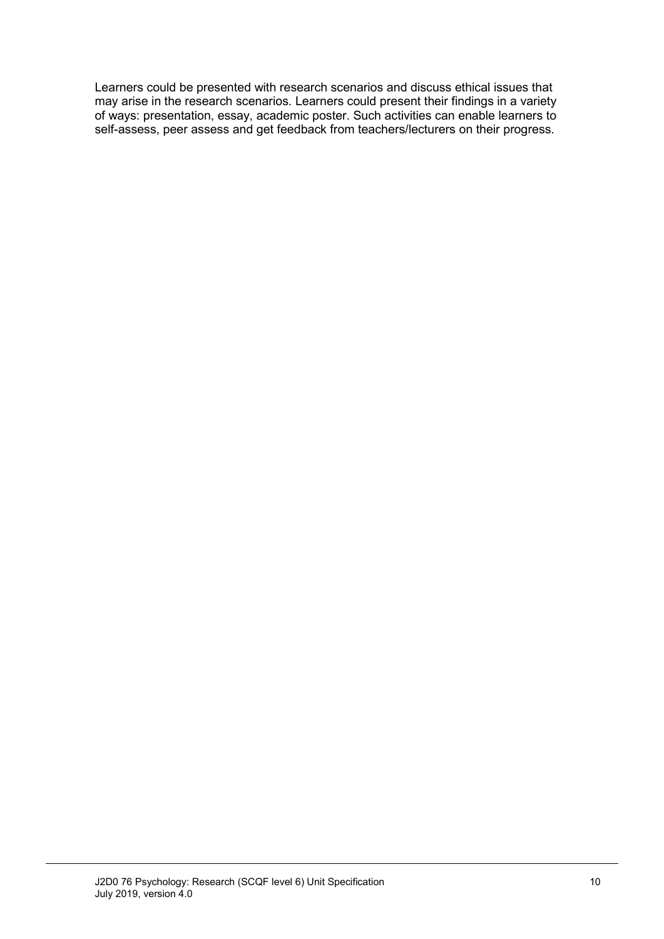Learners could be presented with research scenarios and discuss ethical issues that may arise in the research scenarios. Learners could present their findings in a variety of ways: presentation, essay, academic poster. Such activities can enable learners to self-assess, peer assess and get feedback from teachers/lecturers on their progress.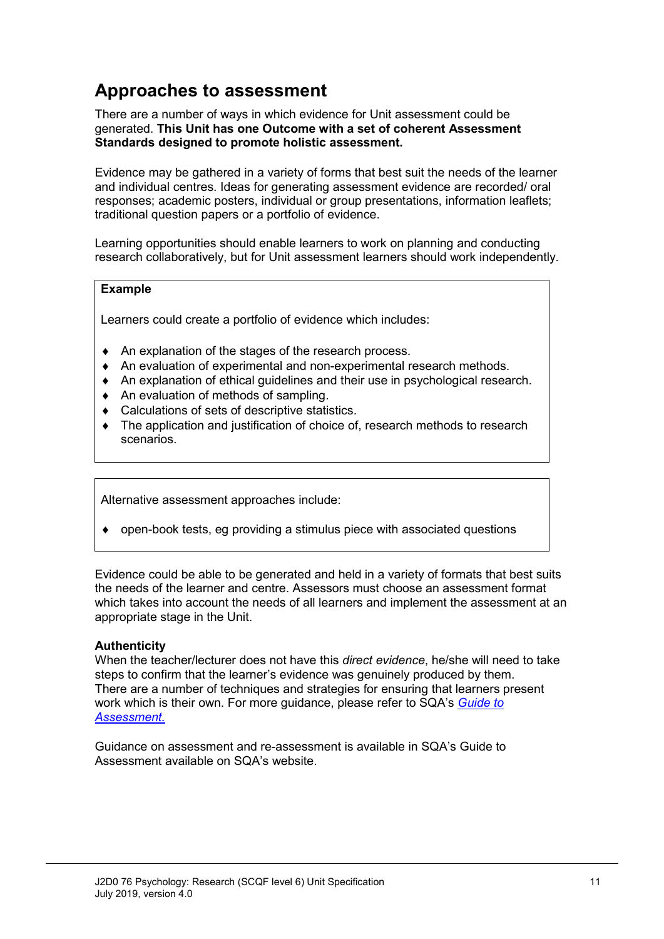### **Approaches to assessment**

There are a number of ways in which evidence for Unit assessment could be generated. **This Unit has one Outcome with a set of coherent Assessment Standards designed to promote holistic assessment.**

Evidence may be gathered in a variety of forms that best suit the needs of the learner and individual centres. Ideas for generating assessment evidence are recorded/ oral responses; academic posters, individual or group presentations, information leaflets; traditional question papers or a portfolio of evidence.

Learning opportunities should enable learners to work on planning and conducting research collaboratively, but for Unit assessment learners should work independently.

#### **Example**

Learners could create a portfolio of evidence which includes:

- ♦ An explanation of the stages of the research process.
- ♦ An evaluation of experimental and non-experimental research methods.
- ♦ An explanation of ethical guidelines and their use in psychological research.
- ♦ An evaluation of methods of sampling.
- ♦ Calculations of sets of descriptive statistics.
- ♦ The application and justification of choice of, research methods to research scenarios.

Alternative assessment approaches include:

 $\bullet$  open-book tests, eg providing a stimulus piece with associated questions

Evidence could be able to be generated and held in a variety of formats that best suits the needs of the learner and centre. Assessors must choose an assessment format which takes into account the needs of all learners and implement the assessment at an appropriate stage in the Unit.

#### **Authenticity**

When the teacher/lecturer does not have this *direct evidence*, he/she will need to take steps to confirm that the learner's evidence was genuinely produced by them. There are a number of techniques and strategies for ensuring that learners present work which is their own. For more guidance, please refer to SQA's *[Guide to](http://www.sqa.org.uk/sqa/files_ccc/25GuideToAssessment.pdf)  [Assessment.](http://www.sqa.org.uk/sqa/files_ccc/25GuideToAssessment.pdf)* 

Guidance on assessment and re-assessment is available in SQA's Guide to Assessment available on SQA's website.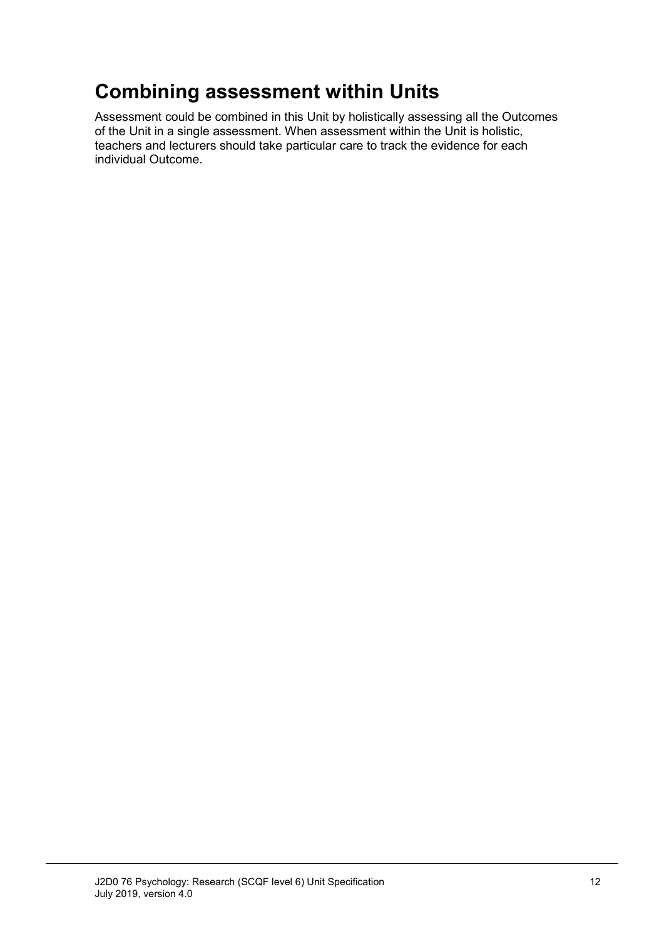# **Combining assessment within Units**

Assessment could be combined in this Unit by holistically assessing all the Outcomes of the Unit in a single assessment. When assessment within the Unit is holistic, teachers and lecturers should take particular care to track the evidence for each individual Outcome.